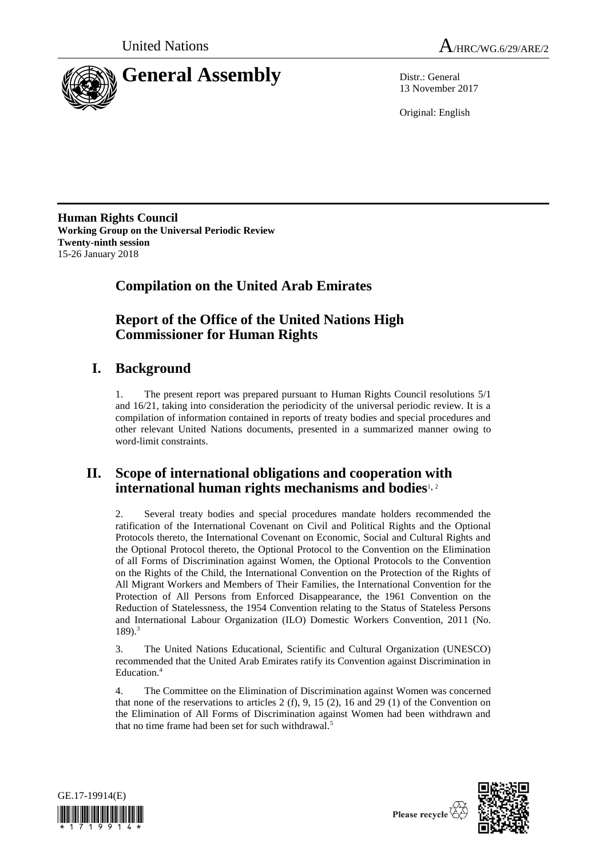



13 November 2017

Original: English

**Human Rights Council Working Group on the Universal Periodic Review Twenty-ninth session** 15-26 January 2018

# **Compilation on the United Arab Emirates**

# **Report of the Office of the United Nations High Commissioner for Human Rights**

# **I. Background**

1. The present report was prepared pursuant to Human Rights Council resolutions 5/1 and 16/21, taking into consideration the periodicity of the universal periodic review. It is a compilation of information contained in reports of treaty bodies and special procedures and other relevant United Nations documents, presented in a summarized manner owing to word-limit constraints.

# **II. Scope of international obligations and cooperation with international human rights mechanisms and bodies**1, <sup>2</sup>

2. Several treaty bodies and special procedures mandate holders recommended the ratification of the International Covenant on Civil and Political Rights and the Optional Protocols thereto, the International Covenant on Economic, Social and Cultural Rights and the Optional Protocol thereto, the Optional Protocol to the Convention on the Elimination of all Forms of Discrimination against Women, the Optional Protocols to the Convention on the Rights of the Child, the International Convention on the Protection of the Rights of All Migrant Workers and Members of Their Families, the International Convention for the Protection of All Persons from Enforced Disappearance, the 1961 Convention on the Reduction of Statelessness, the 1954 Convention relating to the Status of Stateless Persons and International Labour Organization (ILO) Domestic Workers Convention, 2011 (No.  $189$ .<sup>3</sup>

3. The United Nations Educational, Scientific and Cultural Organization (UNESCO) recommended that the United Arab Emirates ratify its Convention against Discrimination in Education.<sup>4</sup>

4. The Committee on the Elimination of Discrimination against Women was concerned that none of the reservations to articles 2  $(f)$ , 9, 15  $(2)$ , 16 and 29  $(1)$  of the Convention on the Elimination of All Forms of Discrimination against Women had been withdrawn and that no time frame had been set for such withdrawal.<sup>5</sup>





Please recycle  $\overline{\hat{C}}$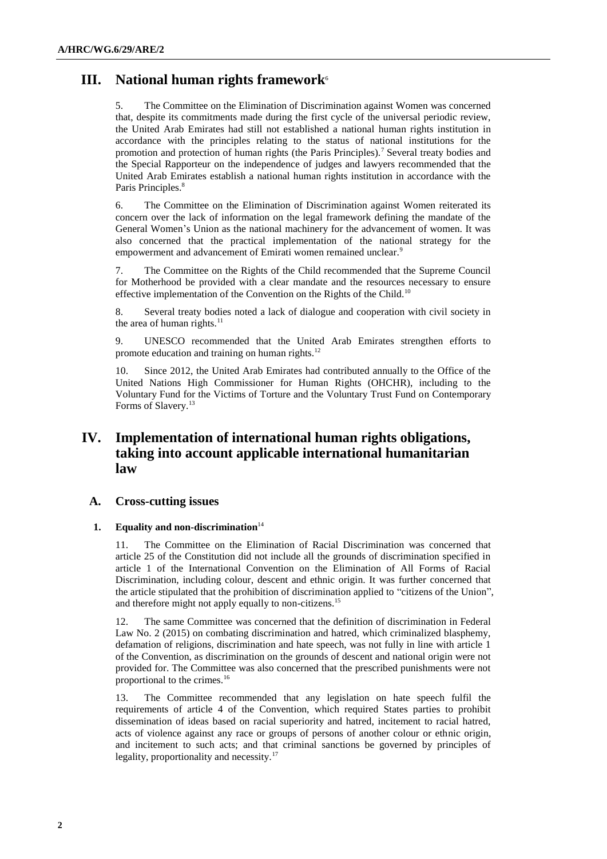# **III. National human rights framework**<sup>6</sup>

5. The Committee on the Elimination of Discrimination against Women was concerned that, despite its commitments made during the first cycle of the universal periodic review, the United Arab Emirates had still not established a national human rights institution in accordance with the principles relating to the status of national institutions for the promotion and protection of human rights (the Paris Principles).<sup>7</sup> Several treaty bodies and the Special Rapporteur on the independence of judges and lawyers recommended that the United Arab Emirates establish a national human rights institution in accordance with the Paris Principles.<sup>8</sup>

6. The Committee on the Elimination of Discrimination against Women reiterated its concern over the lack of information on the legal framework defining the mandate of the General Women's Union as the national machinery for the advancement of women. It was also concerned that the practical implementation of the national strategy for the empowerment and advancement of Emirati women remained unclear.<sup>9</sup>

7. The Committee on the Rights of the Child recommended that the Supreme Council for Motherhood be provided with a clear mandate and the resources necessary to ensure effective implementation of the Convention on the Rights of the Child.<sup>10</sup>

8. Several treaty bodies noted a lack of dialogue and cooperation with civil society in the area of human rights. $11$ 

9. UNESCO recommended that the United Arab Emirates strengthen efforts to promote education and training on human rights.<sup>12</sup>

10. Since 2012, the United Arab Emirates had contributed annually to the Office of the United Nations High Commissioner for Human Rights (OHCHR), including to the Voluntary Fund for the Victims of Torture and the Voluntary Trust Fund on Contemporary Forms of Slavery.<sup>13</sup>

# **IV. Implementation of international human rights obligations, taking into account applicable international humanitarian law**

# **A. Cross-cutting issues**

## **1. Equality and non-discrimination**<sup>14</sup>

11. The Committee on the Elimination of Racial Discrimination was concerned that article 25 of the Constitution did not include all the grounds of discrimination specified in article 1 of the International Convention on the Elimination of All Forms of Racial Discrimination, including colour, descent and ethnic origin. It was further concerned that the article stipulated that the prohibition of discrimination applied to "citizens of the Union", and therefore might not apply equally to non-citizens.<sup>15</sup>

12. The same Committee was concerned that the definition of discrimination in Federal Law No. 2 (2015) on combating discrimination and hatred, which criminalized blasphemy, defamation of religions, discrimination and hate speech, was not fully in line with article 1 of the Convention, as discrimination on the grounds of descent and national origin were not provided for. The Committee was also concerned that the prescribed punishments were not proportional to the crimes.<sup>16</sup>

13. The Committee recommended that any legislation on hate speech fulfil the requirements of article 4 of the Convention, which required States parties to prohibit dissemination of ideas based on racial superiority and hatred, incitement to racial hatred, acts of violence against any race or groups of persons of another colour or ethnic origin, and incitement to such acts; and that criminal sanctions be governed by principles of legality, proportionality and necessity.<sup>17</sup>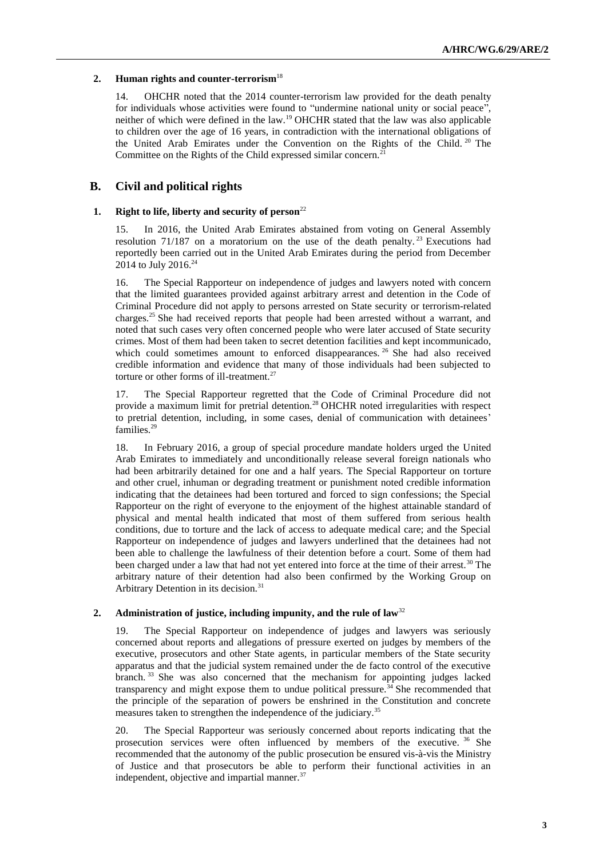### **2. Human rights and counter-terrorism**<sup>18</sup>

14. OHCHR noted that the 2014 counter-terrorism law provided for the death penalty for individuals whose activities were found to "undermine national unity or social peace", neither of which were defined in the law.<sup>19</sup> OHCHR stated that the law was also applicable to children over the age of 16 years, in contradiction with the international obligations of the United Arab Emirates under the Convention on the Rights of the Child.<sup>20</sup> The Committee on the Rights of the Child expressed similar concern.<sup>21</sup>

# **B. Civil and political rights**

### **1. Right to life, liberty and security of person**<sup>22</sup>

15. In 2016, the United Arab Emirates abstained from voting on General Assembly resolution  $71/187$  on a moratorium on the use of the death penalty.<sup>23</sup> Executions had reportedly been carried out in the United Arab Emirates during the period from December 2014 to July 2016.<sup>24</sup>

16. The Special Rapporteur on independence of judges and lawyers noted with concern that the limited guarantees provided against arbitrary arrest and detention in the Code of Criminal Procedure did not apply to persons arrested on State security or terrorism-related charges.<sup>25</sup> She had received reports that people had been arrested without a warrant, and noted that such cases very often concerned people who were later accused of State security crimes. Most of them had been taken to secret detention facilities and kept incommunicado, which could sometimes amount to enforced disappearances.<sup>26</sup> She had also received credible information and evidence that many of those individuals had been subjected to torture or other forms of ill-treatment.<sup>27</sup>

17. The Special Rapporteur regretted that the Code of Criminal Procedure did not provide a maximum limit for pretrial detention.<sup>28</sup> OHCHR noted irregularities with respect to pretrial detention, including, in some cases, denial of communication with detainees' families.<sup>29</sup>

18. In February 2016, a group of special procedure mandate holders urged the United Arab Emirates to immediately and unconditionally release several foreign nationals who had been arbitrarily detained for one and a half years. The Special Rapporteur on torture and other cruel, inhuman or degrading treatment or punishment noted credible information indicating that the detainees had been tortured and forced to sign confessions; the Special Rapporteur on the right of everyone to the enjoyment of the highest attainable standard of physical and mental health indicated that most of them suffered from serious health conditions, due to torture and the lack of access to adequate medical care; and the Special Rapporteur on independence of judges and lawyers underlined that the detainees had not been able to challenge the lawfulness of their detention before a court. Some of them had been charged under a law that had not yet entered into force at the time of their arrest.<sup>30</sup> The arbitrary nature of their detention had also been confirmed by the Working Group on Arbitrary Detention in its decision.<sup>31</sup>

### **2. Administration of justice, including impunity, and the rule of law**<sup>32</sup>

19. The Special Rapporteur on independence of judges and lawyers was seriously concerned about reports and allegations of pressure exerted on judges by members of the executive, prosecutors and other State agents, in particular members of the State security apparatus and that the judicial system remained under the de facto control of the executive branch. <sup>33</sup> She was also concerned that the mechanism for appointing judges lacked transparency and might expose them to undue political pressure.<sup>34</sup> She recommended that the principle of the separation of powers be enshrined in the Constitution and concrete measures taken to strengthen the independence of the judiciary.<sup>35</sup>

20. The Special Rapporteur was seriously concerned about reports indicating that the prosecution services were often influenced by members of the executive. <sup>36</sup> She recommended that the autonomy of the public prosecution be ensured vis-à-vis the Ministry of Justice and that prosecutors be able to perform their functional activities in an independent, objective and impartial manner.<sup>37</sup>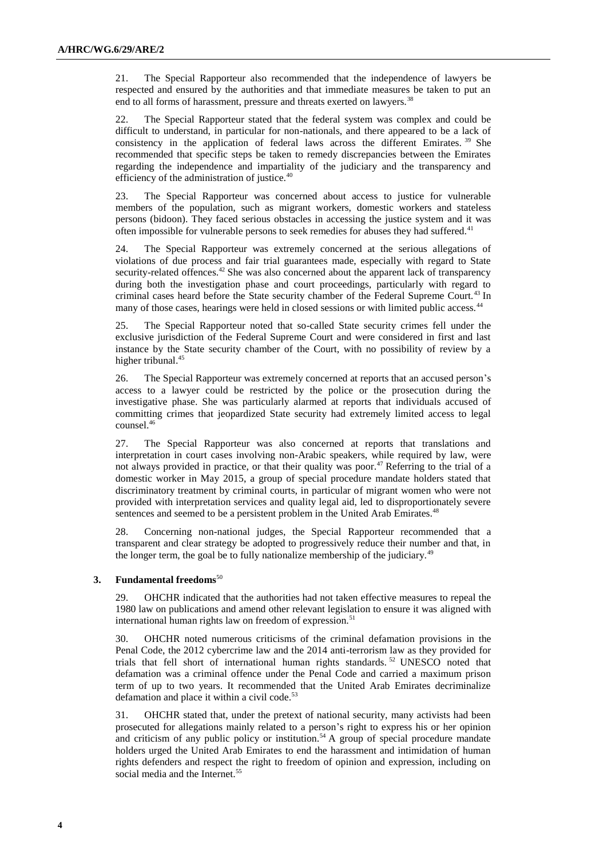21. The Special Rapporteur also recommended that the independence of lawyers be respected and ensured by the authorities and that immediate measures be taken to put an end to all forms of harassment, pressure and threats exerted on lawyers.<sup>38</sup>

22. The Special Rapporteur stated that the federal system was complex and could be difficult to understand, in particular for non-nationals, and there appeared to be a lack of consistency in the application of federal laws across the different Emirates.<sup>39</sup> She recommended that specific steps be taken to remedy discrepancies between the Emirates regarding the independence and impartiality of the judiciary and the transparency and efficiency of the administration of justice.<sup>40</sup>

23. The Special Rapporteur was concerned about access to justice for vulnerable members of the population, such as migrant workers, domestic workers and stateless persons (bidoon). They faced serious obstacles in accessing the justice system and it was often impossible for vulnerable persons to seek remedies for abuses they had suffered.<sup>41</sup>

24. The Special Rapporteur was extremely concerned at the serious allegations of violations of due process and fair trial guarantees made, especially with regard to State security-related offences. $42$  She was also concerned about the apparent lack of transparency during both the investigation phase and court proceedings, particularly with regard to criminal cases heard before the State security chamber of the Federal Supreme Court.<sup>43</sup> In many of those cases, hearings were held in closed sessions or with limited public access.<sup>44</sup>

25. The Special Rapporteur noted that so-called State security crimes fell under the exclusive jurisdiction of the Federal Supreme Court and were considered in first and last instance by the State security chamber of the Court, with no possibility of review by a higher tribunal. 45

26. The Special Rapporteur was extremely concerned at reports that an accused person's access to a lawyer could be restricted by the police or the prosecution during the investigative phase. She was particularly alarmed at reports that individuals accused of committing crimes that jeopardized State security had extremely limited access to legal counsel.<sup>46</sup>

27. The Special Rapporteur was also concerned at reports that translations and interpretation in court cases involving non-Arabic speakers, while required by law, were not always provided in practice, or that their quality was poor.<sup>47</sup> Referring to the trial of a domestic worker in May 2015, a group of special procedure mandate holders stated that discriminatory treatment by criminal courts, in particular of migrant women who were not provided with interpretation services and quality legal aid, led to disproportionately severe sentences and seemed to be a persistent problem in the United Arab Emirates.<sup>48</sup>

28. Concerning non-national judges, the Special Rapporteur recommended that a transparent and clear strategy be adopted to progressively reduce their number and that, in the longer term, the goal be to fully nationalize membership of the judiciary.<sup>49</sup>

#### **3. Fundamental freedoms**<sup>50</sup>

29. OHCHR indicated that the authorities had not taken effective measures to repeal the 1980 law on publications and amend other relevant legislation to ensure it was aligned with international human rights law on freedom of expression.<sup>51</sup>

30. OHCHR noted numerous criticisms of the criminal defamation provisions in the Penal Code, the 2012 cybercrime law and the 2014 anti-terrorism law as they provided for trials that fell short of international human rights standards. <sup>52</sup> UNESCO noted that defamation was a criminal offence under the Penal Code and carried a maximum prison term of up to two years. It recommended that the United Arab Emirates decriminalize defamation and place it within a civil code.<sup>53</sup>

31. OHCHR stated that, under the pretext of national security, many activists had been prosecuted for allegations mainly related to a person's right to express his or her opinion and criticism of any public policy or institution.<sup>54</sup> A group of special procedure mandate holders urged the United Arab Emirates to end the harassment and intimidation of human rights defenders and respect the right to freedom of opinion and expression, including on social media and the Internet.<sup>55</sup>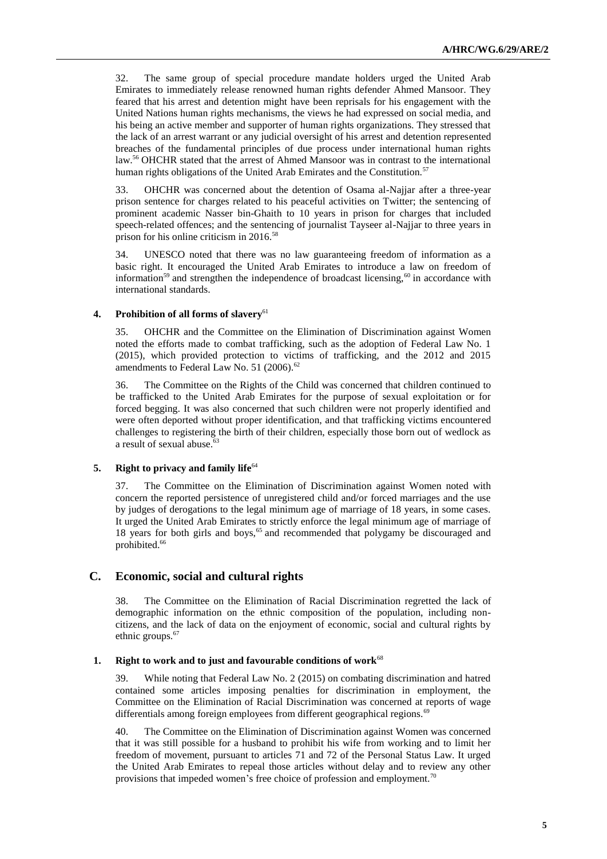32. The same group of special procedure mandate holders urged the United Arab Emirates to immediately release renowned human rights defender Ahmed Mansoor. They feared that his arrest and detention might have been reprisals for his engagement with the United Nations human rights mechanisms, the views he had expressed on social media, and his being an active member and supporter of human rights organizations. They stressed that the lack of an arrest warrant or any judicial oversight of his arrest and detention represented breaches of the fundamental principles of due process under international human rights law.<sup>56</sup> OHCHR stated that the arrest of Ahmed Mansoor was in contrast to the international human rights obligations of the United Arab Emirates and the Constitution.<sup>57</sup>

33. OHCHR was concerned about the detention of Osama al-Najjar after a three-year prison sentence for charges related to his peaceful activities on Twitter; the sentencing of prominent academic Nasser bin-Ghaith to 10 years in prison for charges that included speech-related offences; and the sentencing of journalist Tayseer al-Najjar to three years in prison for his online criticism in 2016.<sup>58</sup>

34. UNESCO noted that there was no law guaranteeing freedom of information as a basic right. It encouraged the United Arab Emirates to introduce a law on freedom of information<sup>59</sup> and strengthen the independence of broadcast licensing,<sup>60</sup> in accordance with international standards.

#### **4. Prohibition of all forms of slavery**<sup>61</sup>

35. OHCHR and the Committee on the Elimination of Discrimination against Women noted the efforts made to combat trafficking, such as the adoption of Federal Law No. 1 (2015), which provided protection to victims of trafficking, and the 2012 and 2015 amendments to Federal Law No. 51 (2006).<sup>62</sup>

36. The Committee on the Rights of the Child was concerned that children continued to be trafficked to the United Arab Emirates for the purpose of sexual exploitation or for forced begging. It was also concerned that such children were not properly identified and were often deported without proper identification, and that trafficking victims encountered challenges to registering the birth of their children, especially those born out of wedlock as a result of sexual abuse.<sup>63</sup>

#### **5. Right to privacy and family life**<sup>64</sup>

37. The Committee on the Elimination of Discrimination against Women noted with concern the reported persistence of unregistered child and/or forced marriages and the use by judges of derogations to the legal minimum age of marriage of 18 years, in some cases. It urged the United Arab Emirates to strictly enforce the legal minimum age of marriage of 18 years for both girls and boys,<sup>65</sup> and recommended that polygamy be discouraged and prohibited.<sup>66</sup>

## **C. Economic, social and cultural rights**

38. The Committee on the Elimination of Racial Discrimination regretted the lack of demographic information on the ethnic composition of the population, including noncitizens, and the lack of data on the enjoyment of economic, social and cultural rights by ethnic groups. $67$ 

#### **1. Right to work and to just and favourable conditions of work**<sup>68</sup>

39. While noting that Federal Law No. 2 (2015) on combating discrimination and hatred contained some articles imposing penalties for discrimination in employment, the Committee on the Elimination of Racial Discrimination was concerned at reports of wage differentials among foreign employees from different geographical regions.<sup>69</sup>

40. The Committee on the Elimination of Discrimination against Women was concerned that it was still possible for a husband to prohibit his wife from working and to limit her freedom of movement, pursuant to articles 71 and 72 of the Personal Status Law. It urged the United Arab Emirates to repeal those articles without delay and to review any other provisions that impeded women's free choice of profession and employment.<sup>70</sup>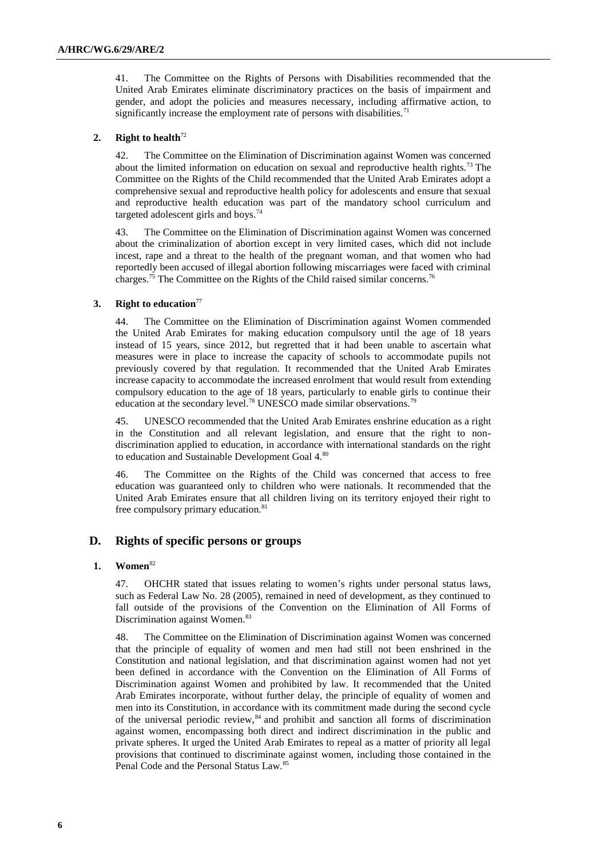41. The Committee on the Rights of Persons with Disabilities recommended that the United Arab Emirates eliminate discriminatory practices on the basis of impairment and gender, and adopt the policies and measures necessary, including affirmative action, to significantly increase the employment rate of persons with disabilities.<sup>71</sup>

### **2. Right to health**<sup>72</sup>

42. The Committee on the Elimination of Discrimination against Women was concerned about the limited information on education on sexual and reproductive health rights.<sup>73</sup> The Committee on the Rights of the Child recommended that the United Arab Emirates adopt a comprehensive sexual and reproductive health policy for adolescents and ensure that sexual and reproductive health education was part of the mandatory school curriculum and targeted adolescent girls and boys.<sup>74</sup>

43. The Committee on the Elimination of Discrimination against Women was concerned about the criminalization of abortion except in very limited cases, which did not include incest, rape and a threat to the health of the pregnant woman, and that women who had reportedly been accused of illegal abortion following miscarriages were faced with criminal charges.<sup>75</sup> The Committee on the Rights of the Child raised similar concerns.<sup>76</sup>

### **3. Right to education**<sup>77</sup>

44. The Committee on the Elimination of Discrimination against Women commended the United Arab Emirates for making education compulsory until the age of 18 years instead of 15 years, since 2012, but regretted that it had been unable to ascertain what measures were in place to increase the capacity of schools to accommodate pupils not previously covered by that regulation. It recommended that the United Arab Emirates increase capacity to accommodate the increased enrolment that would result from extending compulsory education to the age of 18 years, particularly to enable girls to continue their education at the secondary level.<sup>78</sup> UNESCO made similar observations.<sup>79</sup>

45. UNESCO recommended that the United Arab Emirates enshrine education as a right in the Constitution and all relevant legislation, and ensure that the right to nondiscrimination applied to education, in accordance with international standards on the right to education and Sustainable Development Goal 4.80

46. The Committee on the Rights of the Child was concerned that access to free education was guaranteed only to children who were nationals. It recommended that the United Arab Emirates ensure that all children living on its territory enjoyed their right to free compulsory primary education.<sup>81</sup>

# **D. Rights of specific persons or groups**

#### **1. Women**<sup>82</sup>

47. OHCHR stated that issues relating to women's rights under personal status laws, such as Federal Law No. 28 (2005), remained in need of development, as they continued to fall outside of the provisions of the Convention on the Elimination of All Forms of Discrimination against Women.<sup>83</sup>

48. The Committee on the Elimination of Discrimination against Women was concerned that the principle of equality of women and men had still not been enshrined in the Constitution and national legislation, and that discrimination against women had not yet been defined in accordance with the Convention on the Elimination of All Forms of Discrimination against Women and prohibited by law. It recommended that the United Arab Emirates incorporate, without further delay, the principle of equality of women and men into its Constitution, in accordance with its commitment made during the second cycle of the universal periodic review, $84$  and prohibit and sanction all forms of discrimination against women, encompassing both direct and indirect discrimination in the public and private spheres. It urged the United Arab Emirates to repeal as a matter of priority all legal provisions that continued to discriminate against women, including those contained in the Penal Code and the Personal Status Law.<sup>85</sup>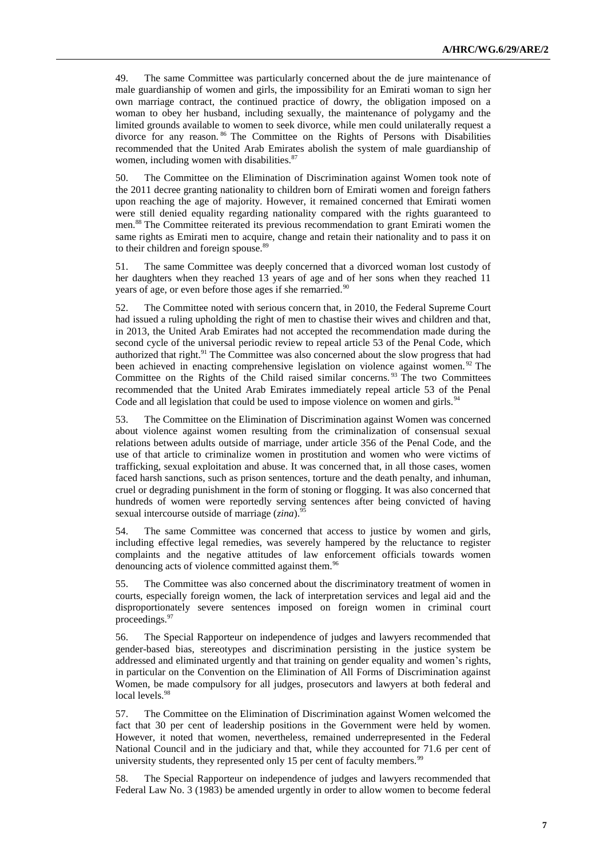49. The same Committee was particularly concerned about the de jure maintenance of male guardianship of women and girls, the impossibility for an Emirati woman to sign her own marriage contract, the continued practice of dowry, the obligation imposed on a woman to obey her husband, including sexually, the maintenance of polygamy and the limited grounds available to women to seek divorce, while men could unilaterally request a divorce for any reason. <sup>86</sup> The Committee on the Rights of Persons with Disabilities recommended that the United Arab Emirates abolish the system of male guardianship of women, including women with disabilities.<sup>87</sup>

50. The Committee on the Elimination of Discrimination against Women took note of the 2011 decree granting nationality to children born of Emirati women and foreign fathers upon reaching the age of majority. However, it remained concerned that Emirati women were still denied equality regarding nationality compared with the rights guaranteed to men.<sup>88</sup> The Committee reiterated its previous recommendation to grant Emirati women the same rights as Emirati men to acquire, change and retain their nationality and to pass it on to their children and foreign spouse.<sup>89</sup>

51. The same Committee was deeply concerned that a divorced woman lost custody of her daughters when they reached 13 years of age and of her sons when they reached 11 years of age, or even before those ages if she remarried.<sup>90</sup>

52. The Committee noted with serious concern that, in 2010, the Federal Supreme Court had issued a ruling upholding the right of men to chastise their wives and children and that, in 2013, the United Arab Emirates had not accepted the recommendation made during the second cycle of the universal periodic review to repeal article 53 of the Penal Code, which authorized that right.<sup>91</sup> The Committee was also concerned about the slow progress that had been achieved in enacting comprehensive legislation on violence against women.<sup>92</sup> The Committee on the Rights of the Child raised similar concerns.<sup>93</sup> The two Committees recommended that the United Arab Emirates immediately repeal article 53 of the Penal Code and all legislation that could be used to impose violence on women and girls.<sup>94</sup>

53. The Committee on the Elimination of Discrimination against Women was concerned about violence against women resulting from the criminalization of consensual sexual relations between adults outside of marriage, under article 356 of the Penal Code, and the use of that article to criminalize women in prostitution and women who were victims of trafficking, sexual exploitation and abuse. It was concerned that, in all those cases, women faced harsh sanctions, such as prison sentences, torture and the death penalty, and inhuman, cruel or degrading punishment in the form of stoning or flogging. It was also concerned that hundreds of women were reportedly serving sentences after being convicted of having sexual intercourse outside of marriage (*zina*).<sup>9</sup>

54. The same Committee was concerned that access to justice by women and girls, including effective legal remedies, was severely hampered by the reluctance to register complaints and the negative attitudes of law enforcement officials towards women denouncing acts of violence committed against them.<sup>96</sup>

55. The Committee was also concerned about the discriminatory treatment of women in courts, especially foreign women, the lack of interpretation services and legal aid and the disproportionately severe sentences imposed on foreign women in criminal court proceedings.<sup>97</sup>

56. The Special Rapporteur on independence of judges and lawyers recommended that gender-based bias, stereotypes and discrimination persisting in the justice system be addressed and eliminated urgently and that training on gender equality and women's rights, in particular on the Convention on the Elimination of All Forms of Discrimination against Women, be made compulsory for all judges, prosecutors and lawyers at both federal and local levels.<sup>98</sup>

57. The Committee on the Elimination of Discrimination against Women welcomed the fact that 30 per cent of leadership positions in the Government were held by women. However, it noted that women, nevertheless, remained underrepresented in the Federal National Council and in the judiciary and that, while they accounted for 71.6 per cent of university students, they represented only 15 per cent of faculty members.<sup>99</sup>

58. The Special Rapporteur on independence of judges and lawyers recommended that Federal Law No. 3 (1983) be amended urgently in order to allow women to become federal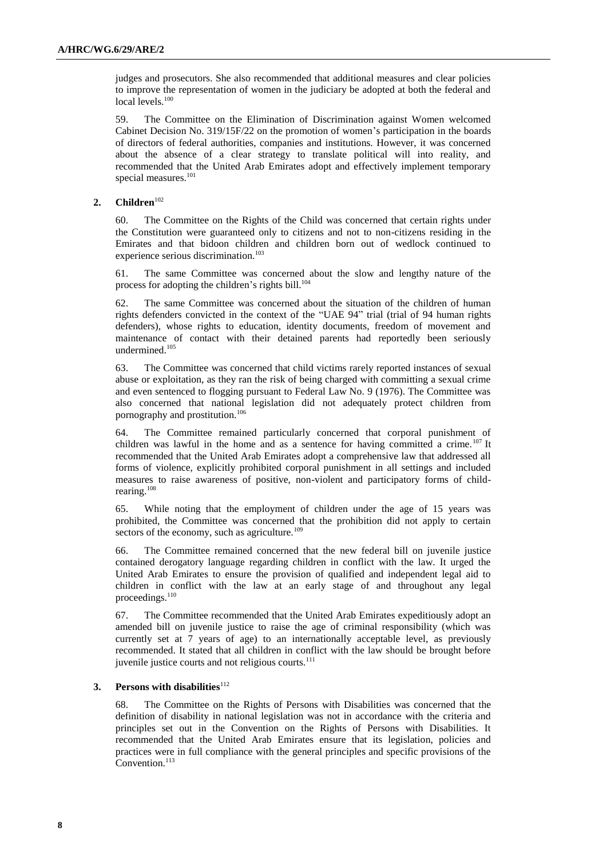judges and prosecutors. She also recommended that additional measures and clear policies to improve the representation of women in the judiciary be adopted at both the federal and local levels.<sup>100</sup>

59. The Committee on the Elimination of Discrimination against Women welcomed Cabinet Decision No. 319/15F/22 on the promotion of women's participation in the boards of directors of federal authorities, companies and institutions. However, it was concerned about the absence of a clear strategy to translate political will into reality, and recommended that the United Arab Emirates adopt and effectively implement temporary special measures.<sup>101</sup>

## 2. **Children**<sup>102</sup>

60. The Committee on the Rights of the Child was concerned that certain rights under the Constitution were guaranteed only to citizens and not to non-citizens residing in the Emirates and that bidoon children and children born out of wedlock continued to experience serious discrimination.<sup>103</sup>

61. The same Committee was concerned about the slow and lengthy nature of the process for adopting the children's rights bill.<sup>104</sup>

62. The same Committee was concerned about the situation of the children of human rights defenders convicted in the context of the "UAE 94" trial (trial of 94 human rights defenders), whose rights to education, identity documents, freedom of movement and maintenance of contact with their detained parents had reportedly been seriously undermined.<sup>105</sup>

63. The Committee was concerned that child victims rarely reported instances of sexual abuse or exploitation, as they ran the risk of being charged with committing a sexual crime and even sentenced to flogging pursuant to Federal Law No. 9 (1976). The Committee was also concerned that national legislation did not adequately protect children from pornography and prostitution.<sup>106</sup>

64. The Committee remained particularly concerned that corporal punishment of children was lawful in the home and as a sentence for having committed a crime.<sup>107</sup> It recommended that the United Arab Emirates adopt a comprehensive law that addressed all forms of violence, explicitly prohibited corporal punishment in all settings and included measures to raise awareness of positive, non-violent and participatory forms of childrearing.<sup>108</sup>

65. While noting that the employment of children under the age of 15 years was prohibited, the Committee was concerned that the prohibition did not apply to certain sectors of the economy, such as agriculture.<sup>109</sup>

66. The Committee remained concerned that the new federal bill on juvenile justice contained derogatory language regarding children in conflict with the law. It urged the United Arab Emirates to ensure the provision of qualified and independent legal aid to children in conflict with the law at an early stage of and throughout any legal proceedings.<sup>110</sup>

67. The Committee recommended that the United Arab Emirates expeditiously adopt an amended bill on juvenile justice to raise the age of criminal responsibility (which was currently set at 7 years of age) to an internationally acceptable level, as previously recommended. It stated that all children in conflict with the law should be brought before juvenile justice courts and not religious courts.<sup>111</sup>

# **3. Persons with disabilities**<sup>112</sup>

68. The Committee on the Rights of Persons with Disabilities was concerned that the definition of disability in national legislation was not in accordance with the criteria and principles set out in the Convention on the Rights of Persons with Disabilities. It recommended that the United Arab Emirates ensure that its legislation, policies and practices were in full compliance with the general principles and specific provisions of the Convention.<sup>113</sup>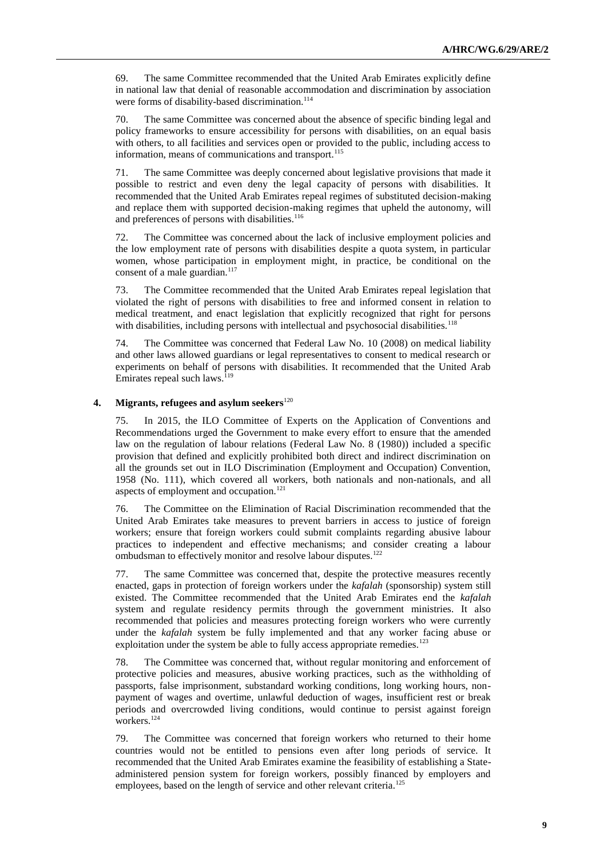69. The same Committee recommended that the United Arab Emirates explicitly define in national law that denial of reasonable accommodation and discrimination by association were forms of disability-based discrimination.<sup>114</sup>

70. The same Committee was concerned about the absence of specific binding legal and policy frameworks to ensure accessibility for persons with disabilities, on an equal basis with others, to all facilities and services open or provided to the public, including access to information, means of communications and transport.<sup>115</sup>

71. The same Committee was deeply concerned about legislative provisions that made it possible to restrict and even deny the legal capacity of persons with disabilities. It recommended that the United Arab Emirates repeal regimes of substituted decision-making and replace them with supported decision-making regimes that upheld the autonomy, will and preferences of persons with disabilities.<sup>116</sup>

72. The Committee was concerned about the lack of inclusive employment policies and the low employment rate of persons with disabilities despite a quota system, in particular women, whose participation in employment might, in practice, be conditional on the consent of a male guardian.<sup>117</sup>

73. The Committee recommended that the United Arab Emirates repeal legislation that violated the right of persons with disabilities to free and informed consent in relation to medical treatment, and enact legislation that explicitly recognized that right for persons with disabilities, including persons with intellectual and psychosocial disabilities.<sup>118</sup>

74. The Committee was concerned that Federal Law No. 10 (2008) on medical liability and other laws allowed guardians or legal representatives to consent to medical research or experiments on behalf of persons with disabilities. It recommended that the United Arab Emirates repeal such laws.<sup>119</sup>

#### **4. Migrants, refugees and asylum seekers**<sup>120</sup>

75. In 2015, the ILO Committee of Experts on the Application of Conventions and Recommendations urged the Government to make every effort to ensure that the amended law on the regulation of labour relations (Federal Law No. 8 (1980)) included a specific provision that defined and explicitly prohibited both direct and indirect discrimination on all the grounds set out in ILO Discrimination (Employment and Occupation) Convention, 1958 (No. 111), which covered all workers, both nationals and non-nationals, and all aspects of employment and occupation.<sup>121</sup>

76. The Committee on the Elimination of Racial Discrimination recommended that the United Arab Emirates take measures to prevent barriers in access to justice of foreign workers; ensure that foreign workers could submit complaints regarding abusive labour practices to independent and effective mechanisms; and consider creating a labour ombudsman to effectively monitor and resolve labour disputes.<sup>122</sup>

77. The same Committee was concerned that, despite the protective measures recently enacted, gaps in protection of foreign workers under the *kafalah* (sponsorship) system still existed. The Committee recommended that the United Arab Emirates end the *kafalah* system and regulate residency permits through the government ministries. It also recommended that policies and measures protecting foreign workers who were currently under the *kafalah* system be fully implemented and that any worker facing abuse or exploitation under the system be able to fully access appropriate remedies.<sup>123</sup>

78. The Committee was concerned that, without regular monitoring and enforcement of protective policies and measures, abusive working practices, such as the withholding of passports, false imprisonment, substandard working conditions, long working hours, nonpayment of wages and overtime, unlawful deduction of wages, insufficient rest or break periods and overcrowded living conditions, would continue to persist against foreign workers.<sup>124</sup>

79. The Committee was concerned that foreign workers who returned to their home countries would not be entitled to pensions even after long periods of service. It recommended that the United Arab Emirates examine the feasibility of establishing a Stateadministered pension system for foreign workers, possibly financed by employers and employees, based on the length of service and other relevant criteria.<sup>125</sup>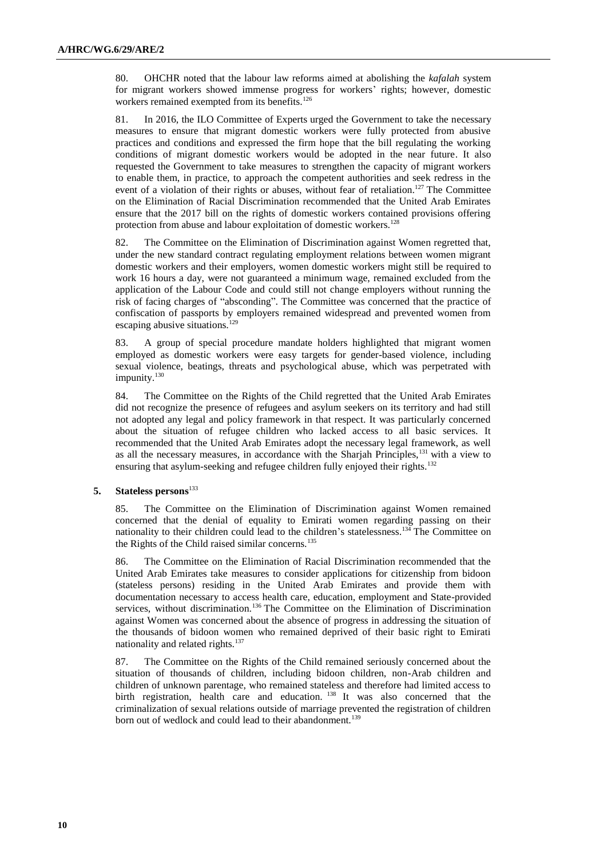80. OHCHR noted that the labour law reforms aimed at abolishing the *kafalah* system for migrant workers showed immense progress for workers' rights; however, domestic workers remained exempted from its benefits.<sup>126</sup>

81. In 2016, the ILO Committee of Experts urged the Government to take the necessary measures to ensure that migrant domestic workers were fully protected from abusive practices and conditions and expressed the firm hope that the bill regulating the working conditions of migrant domestic workers would be adopted in the near future. It also requested the Government to take measures to strengthen the capacity of migrant workers to enable them, in practice, to approach the competent authorities and seek redress in the event of a violation of their rights or abuses, without fear of retaliation.<sup>127</sup> The Committee on the Elimination of Racial Discrimination recommended that the United Arab Emirates ensure that the 2017 bill on the rights of domestic workers contained provisions offering protection from abuse and labour exploitation of domestic workers.<sup>128</sup>

82. The Committee on the Elimination of Discrimination against Women regretted that, under the new standard contract regulating employment relations between women migrant domestic workers and their employers, women domestic workers might still be required to work 16 hours a day, were not guaranteed a minimum wage, remained excluded from the application of the Labour Code and could still not change employers without running the risk of facing charges of "absconding". The Committee was concerned that the practice of confiscation of passports by employers remained widespread and prevented women from escaping abusive situations.<sup>129</sup>

83. A group of special procedure mandate holders highlighted that migrant women employed as domestic workers were easy targets for gender-based violence, including sexual violence, beatings, threats and psychological abuse, which was perpetrated with impunity.<sup>130</sup>

84. The Committee on the Rights of the Child regretted that the United Arab Emirates did not recognize the presence of refugees and asylum seekers on its territory and had still not adopted any legal and policy framework in that respect. It was particularly concerned about the situation of refugee children who lacked access to all basic services. It recommended that the United Arab Emirates adopt the necessary legal framework, as well as all the necessary measures, in accordance with the Sharjah Principles,<sup>131</sup> with a view to ensuring that asylum-seeking and refugee children fully enjoyed their rights.<sup>132</sup>

## **5. Stateless persons**<sup>133</sup>

85. The Committee on the Elimination of Discrimination against Women remained concerned that the denial of equality to Emirati women regarding passing on their nationality to their children could lead to the children's statelessness.<sup>134</sup> The Committee on the Rights of the Child raised similar concerns.<sup>135</sup>

86. The Committee on the Elimination of Racial Discrimination recommended that the United Arab Emirates take measures to consider applications for citizenship from bidoon (stateless persons) residing in the United Arab Emirates and provide them with documentation necessary to access health care, education, employment and State-provided services, without discrimination.<sup>136</sup> The Committee on the Elimination of Discrimination against Women was concerned about the absence of progress in addressing the situation of the thousands of bidoon women who remained deprived of their basic right to Emirati nationality and related rights.<sup>137</sup>

87. The Committee on the Rights of the Child remained seriously concerned about the situation of thousands of children, including bidoon children, non-Arab children and children of unknown parentage, who remained stateless and therefore had limited access to birth registration, health care and education. <sup>138</sup> It was also concerned that the criminalization of sexual relations outside of marriage prevented the registration of children born out of wedlock and could lead to their abandonment.<sup>139</sup>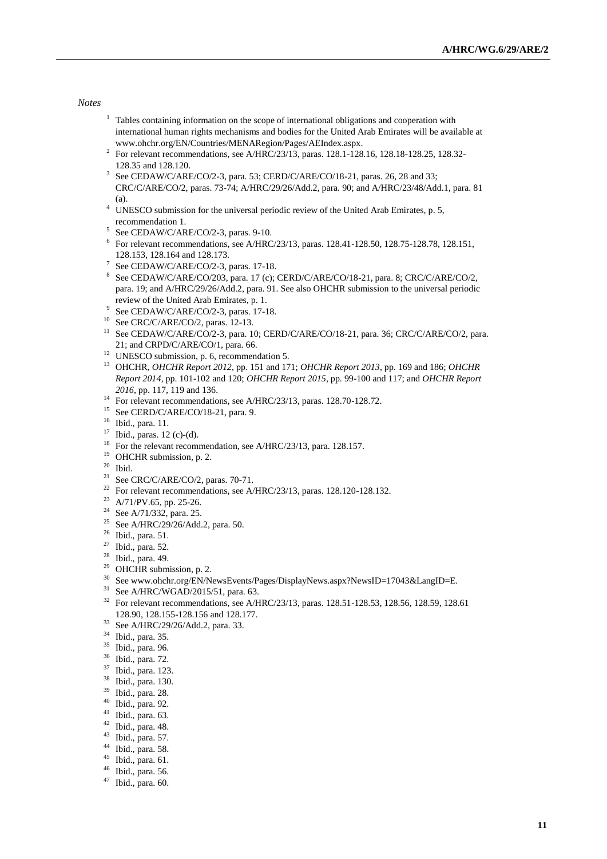#### *Notes*

- <sup>1</sup> Tables containing information on the scope of international obligations and cooperation with international human rights mechanisms and bodies for the United Arab Emirates will be available at [www.ohchr.org/EN/Countries/MENARegion/Pages/AEIndex.aspx.](http://www.ohchr.org/EN/Countries/MENARegion/Pages/AEIndex.aspx)
- 2 For relevant recommendations, see A/HRC/23/13, paras. 128.1-128.16, 128.18-128.25, 128.32- 128.35 and 128.120.
- <sup>3</sup> See CEDAW/C/ARE/CO/2-3, para. 53; CERD/C/ARE/CO/18-21, paras. 26, 28 and 33; CRC/C/ARE/CO/2, paras. 73-74; A/HRC/29/26/Add.2, para. 90; and A/HRC/23/48/Add.1, para. 81 (a).
- <sup>4</sup> UNESCO submission for the universal periodic review of the United Arab Emirates, p. 5, recommendation 1.
- 5 See CEDAW/C/ARE/CO/2-3, paras. 9-10.
- <sup>6</sup> For relevant recommendations, see A/HRC/23/13, paras. 128.41-128.50, 128.75-128.78, 128.151, 128.153, 128.164 and 128.173.
- $7$  See CEDAW/C/ARE/CO/2-3, paras. 17-18.
- 8 See CEDAW/C/ARE/CO/203, para. 17 (c); CERD/C/ARE/CO/18-21, para. 8; CRC/C/ARE/CO/2, para. 19; and A/HRC/29/26/Add.2, para. 91. See also OHCHR submission to the universal periodic review of the United Arab Emirates, p. 1.
- 9 See CEDAW/C/ARE/CO/2-3, paras. 17-18.
- <sup>10</sup> See CRC/C/ARE/CO/2, paras. 12-13.
- <sup>11</sup> See CEDAW/C/ARE/CO/2-3, para. 10; CERD/C/ARE/CO/18-21, para. 36; CRC/C/ARE/CO/2, para. 21; and CRPD/C/ARE/CO/1, para. 66.
- <sup>12</sup> UNESCO submission, p. 6, recommendation 5.
- <sup>13</sup> OHCHR, *OHCHR Report 2012*, pp. 151 and 171; *OHCHR Report 2013*, pp. 169 and 186; *OHCHR Report 2014*, pp. 101-102 and 120; *OHCHR Report 2015*, pp. 99-100 and 117; and *OHCHR Report 2016*, pp. 117, 119 and 136.
- <sup>14</sup> For relevant recommendations, see A/HRC/23/13, paras. 128.70-128.72.
- <sup>15</sup> See CERD/C/ARE/CO/18-21, para. 9.
- <sup>16</sup> Ibid., para. 11.
- $17$  Ibid., paras. 12 (c)-(d).
- <sup>18</sup> For the relevant recommendation, see A/HRC/23/13, para. 128.157.
- <sup>19</sup> OHCHR submission, p. 2.
- $20$  Ibid.
- <sup>21</sup> See CRC/C/ARE/CO/2, paras. 70-71.
- <sup>22</sup> For relevant recommendations, see A/HRC/23/13, paras. 128.120-128.132.
- <sup>23</sup> A/71/PV.65, pp. 25-26.
- <sup>24</sup> See A/71/332, para. 25.
- <sup>25</sup> See A/HRC/29/26/Add.2, para. 50.
- <sup>26</sup> Ibid., para. 51.
- <sup>27</sup> Ibid., para. 52.
- <sup>28</sup> Ibid., para. 49.
- $29$  OHCHR submission, p. 2.
- <sup>30</sup> See www.ohchr.org/EN/NewsEvents/Pages/DisplayNews.aspx?NewsID=17043&LangID=E.<br><sup>31</sup> See A JIDC/WGA D/2015/51 assoc 62
- See A/HRC/WGAD/2015/51, para. 63.
- <sup>32</sup> For relevant recommendations, see A/HRC/23/13, paras. 128.51-128.53, 128.56, 128.59, 128.61 128.90, 128.155-128.156 and 128.177.
- <sup>33</sup> See A/HRC/29/26/Add.2, para. 33.
- $34$  Ibid., para. 35.
- Ibid., para. 96.
- $\frac{36}{37}$  Ibid., para. 72.
- $\frac{37}{38}$  Ibid., para. 123.
- Ibid., para. 130.
- $^{39}$  Ibid., para. 28.
- Ibid., para. 92.
- $41$  Ibid., para. 63.
- $42$  Ibid., para. 48.
- <sup>43</sup> Ibid., para. 57.
- <sup>44</sup> Ibid., para. 58.
- <sup>45</sup> Ibid., para. 61.
- $^{46}$  Ibid., para. 56.
- Ibid., para. 60.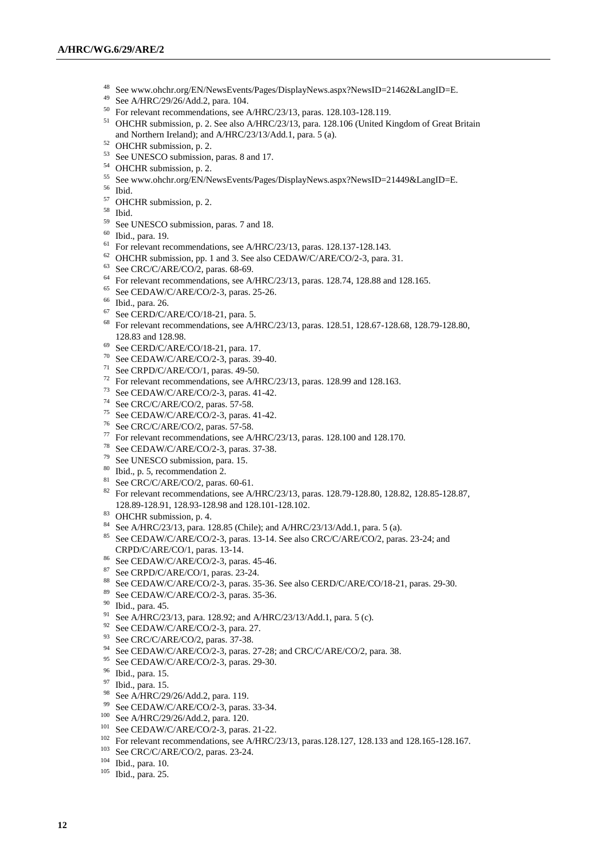- See www.ohchr.org/EN/NewsEvents/Pages/DisplayNews.aspx?NewsID=21462&LangID=E.
- See A/HRC/29/26/Add.2, para. 104.
- For relevant recommendations, see A/HRC/23/13, paras. 128.103-128.119.
- OHCHR submission, p. 2. See also A/HRC/23/13, para. 128.106 (United Kingdom of Great Britain and Northern Ireland); and A/HRC/23/13/Add.1, para. 5 (a).
- OHCHR submission, p. 2.
- See UNESCO submission, paras. 8 and 17.
- OHCHR submission, p. 2.
- <sup>55</sup> See www.ohchr.org/EN/NewsEvents/Pages/DisplayNews.aspx?NewsID=21449&LangID=E.<br><sup>56</sup> Ibid
- Ibid.
- OHCHR submission, p. 2.
- $\frac{58}{59}$  Ibid.
- <sup>59</sup> See UNESCO submission, paras. 7 and 18.
- Ibid., para. 19.
- For relevant recommendations, see A/HRC/23/13, paras. 128.137-128.143.
- OHCHR submission, pp. 1 and 3. See also CEDAW/C/ARE/CO/2-3, para. 31.
- See CRC/C/ARE/CO/2, paras.  $68-69$ .
- For relevant recommendations, see A/HRC/23/13, paras. 128.74, 128.88 and 128.165.
- See CEDAW/C/ARE/CO/2-3, paras. 25-26.
- Ibid., para. 26.
- See CERD/C/ARE/CO/18-21, para. 5.
- For relevant recommendations, see A/HRC/23/13, paras. 128.51, 128.67-128.68, 128.79-128.80, 128.83 and 128.98.
- See CERD/C/ARE/CO/18-21, para. 17.
- See CEDAW/C/ARE/CO/2-3, paras. 39-40.
- See CRPD/C/ARE/CO/1, paras. 49-50.
- <sup>72</sup> For relevant recommendations, see A/HRC/23/13, paras. 128.99 and 128.163.
- See CEDAW/C/ARE/CO/2-3, paras. 41-42.
- See CRC/C/ARE/CO/2, paras. 57-58.
- See CEDAW/C/ARE/CO/2-3, paras. 41-42.
- See CRC/C/ARE/CO/2, paras. 57-58.
- For relevant recommendations, see A/HRC/23/13, paras. 128.100 and 128.170.
- See CEDAW/C/ARE/CO/2-3, paras. 37-38.
- See UNESCO submission, para. 15.
- Ibid., p. 5, recommendation 2.
- See CRC/C/ARE/CO/2, paras. 60-61.
- For relevant recommendations, see A/HRC/23/13, paras. 128.79-128.80, 128.82, 128.85-128.87, 128.89-128.91, 128.93-128.98 and 128.101-128.102.
- OHCHR submission, p. 4.
- See A/HRC/23/13, para. 128.85 (Chile); and A/HRC/23/13/Add.1, para. 5 (a).
- See CEDAW/C/ARE/CO/2-3, paras. 13-14. See also CRC/C/ARE/CO/2, paras. 23-24; and CRPD/C/ARE/CO/1, paras. 13-14.
- See CEDAW/C/ARE/CO/2-3, paras. 45-46.
- See CRPD/C/ARE/CO/1, paras. 23-24.
- See CEDAW/C/ARE/CO/2-3, paras. 35-36. See also CERD/C/ARE/CO/18-21, paras. 29-30.
- See CEDAW/C/ARE/CO/2-3, paras. 35-36.
- Ibid., para. 45.
- <sup>91</sup> See A/HRC/23/13, para. 128.92; and A/HRC/23/13/Add.1, para. 5 (c).
- See CEDAW/C/ARE/CO/2-3, para. 27.
- <sup>93</sup> See CRC/C/ARE/CO/2, paras. 37-38.
- <sup>94</sup> See CEDAW/C/ARE/CO/2-3, paras. 27-28; and CRC/C/ARE/CO/2, para. 38.
- See CEDAW/C/ARE/CO/2-3, paras. 29-30.
- Ibid., para. 15.
- Ibid., para. 15.
- See A/HRC/29/26/Add.2, para. 119.
- See CEDAW/C/ARE/CO/2-3, paras. 33-34.
- See A/HRC/29/26/Add.2, para. 120.
- See CEDAW/C/ARE/CO/2-3, paras. 21-22.
- <sup>102</sup> For relevant recommendations, see A/HRC/23/13, paras.128.127, 128.133 and 128.165-128.167.
- See CRC/C/ARE/CO/2, paras. 23-24.
- Ibid., para. 10.
- Ibid., para. 25.